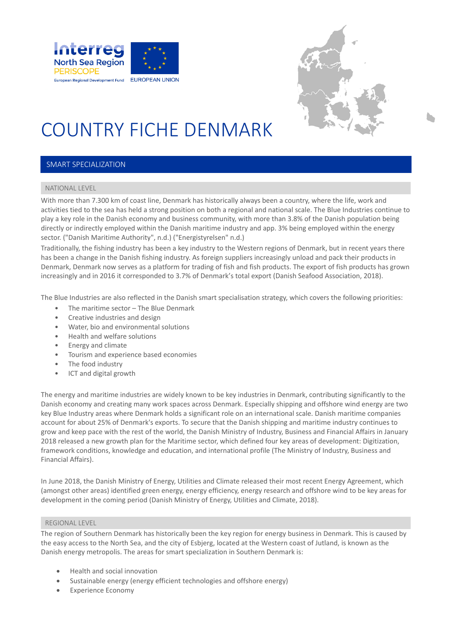



### COUNTRY FICHE DENMARK

#### SMART SPECIALIZATION

#### NATIONAL LEVEL

With more than 7.300 km of coast line, Denmark has historically always been a country, where the life, work and activities tied to the sea has held a strong position on both a regional and national scale. The Blue Industries continue to play a key role in the Danish economy and business community, with more than 3.8% of the Danish population being directly or indirectly employed within the Danish maritime industry and app. 3% being employed within the energy sector. ("Danish Maritime Authority", n.d.) ("Energistyrelsen" n.d.)

Traditionally, the fishing industry has been a key industry to the Western regions of Denmark, but in recent years there has been a change in the Danish fishing industry. As foreign suppliers increasingly unload and pack their products in Denmark, Denmark now serves as a platform for trading of fish and fish products. The export of fish products has grown increasingly and in 2016 it corresponded to 3.7% of Denmark's total export (Danish Seafood Association, 2018).

The Blue Industries are also reflected in the Danish smart specialisation strategy, which covers the following priorities:

- The maritime sector The Blue Denmark
- Creative industries and design
- Water, bio and environmental solutions
- Health and welfare solutions
- Energy and climate
- Tourism and experience based economies
- The food industry
- ICT and digital growth

The energy and maritime industries are widely known to be key industries in Denmark, contributing significantly to the Danish economy and creating many work spaces across Denmark. Especially shipping and offshore wind energy are two key Blue Industry areas where Denmark holds a significant role on an international scale. Danish maritime companies account for about 25% of Denmark's exports. To secure that the Danish shipping and maritime industry continues to grow and keep pace with the rest of the world, the Danish Ministry of Industry, Business and Financial Affairs in January 2018 released a new growth plan for the Maritime sector, which defined four key areas of development: Digitization, framework conditions, knowledge and education, and international profile (The Ministry of Industry, Business and Financial Affairs).

In June 2018, the Danish Ministry of Energy, Utilities and Climate released their most recent Energy Agreement, which (amongst other areas) identified green energy, energy efficiency, energy research and offshore wind to be key areas for development in the coming period (Danish Ministry of Energy, Utilities and Climate, 2018).

#### REGIONAL LEVEL

The region of Southern Denmark has historically been the key region for energy business in Denmark. This is caused by the easy access to the North Sea, and the city of Esbjerg, located at the Western coast of Jutland, is known as the Danish energy metropolis. The areas for smart specialization in Southern Denmark is:

- Health and social innovation
- Sustainable energy (energy efficient technologies and offshore energy)
- Experience Economy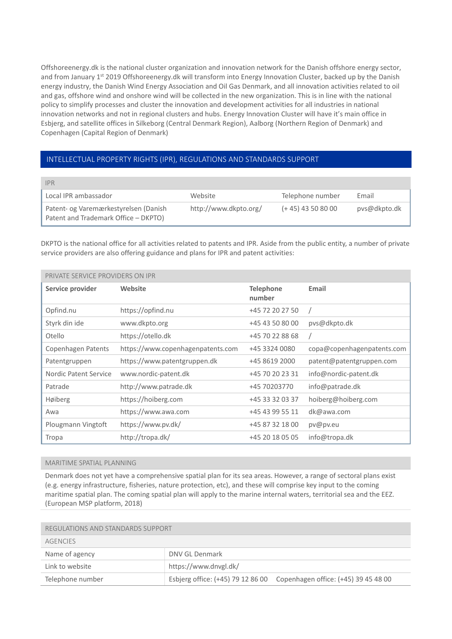Offshoreenergy.dk is the national cluster organization and innovation network for the Danish offshore energy sector, and from January 1<sup>st</sup> 2019 Offshoreenergy.dk will transform into Energy Innovation Cluster, backed up by the Danish energy industry, the Danish Wind Energy Association and Oil Gas Denmark, and all innovation activities related to oil and gas, offshore wind and onshore wind will be collected in the new organization. This is in line with the national policy to simplify processes and cluster the innovation and development activities for all industries in national innovation networks and not in regional clusters and hubs. Energy Innovation Cluster will have it's main office in Esbjerg, and satellite offices in Silkeborg (Central Denmark Region), Aalborg (Northern Region of Denmark) and Copenhagen (Capital Region of Denmark)

#### INTELLECTUAL PROPERTY RIGHTS (IPR), REGULATIONS AND STANDARDS SUPPORT

| <b>IPR</b>                                                                    |                       |                      |              |
|-------------------------------------------------------------------------------|-----------------------|----------------------|--------------|
| Local IPR ambassador                                                          | Website               | Telephone number     | Email        |
| Patent- og Varemærkestyrelsen (Danish<br>Patent and Trademark Office - DKPTO) | http://www.dkpto.org/ | $(+ 45)$ 43 50 80 00 | pys@dkpto.dk |

DKPTO is the national office for all activities related to patents and IPR. Aside from the public entity, a number of private service providers are also offering guidance and plans for IPR and patent activities:

| PRIVATE SERVICE PROVIDERS ON IPR |                                   |                            |                            |
|----------------------------------|-----------------------------------|----------------------------|----------------------------|
| Service provider                 | Website                           | <b>Telephone</b><br>number | Email                      |
| Opfind.nu                        | https://opfind.nu                 | +45 72 20 27 50            |                            |
| Styrk din ide                    | www.dkpto.org                     | +45 43 50 80 00            | pvs@dkpto.dk               |
| Otello                           | https://otello.dk                 | +45 70 22 88 68            |                            |
| Copenhagen Patents               | https://www.copenhagenpatents.com | +45 3324 0080              | copa@copenhagenpatents.com |
| Patentgruppen                    | https://www.patentgruppen.dk      | +45 8619 2000              | patent@patentgruppen.com   |
| Nordic Patent Service            | www.nordic-patent.dk              | +45 70 20 23 31            | info@nordic-patent.dk      |
| Patrade                          | http://www.patrade.dk             | +45 70203770               | info@patrade.dk            |
| Høiberg                          | https://hoiberg.com               | +45 33 32 03 37            | hoiberg@hoiberg.com        |
| Awa                              | https://www.awa.com               | +45 43 99 55 11            | dk@awa.com                 |
| Plougmann Vingtoft               | https://www.pv.dk/                | +45 87 32 18 00            | pv@pv.eu                   |
| Tropa                            | http://tropa.dk/                  | +45 20 18 05 05            | info@tropa.dk              |

#### MARITIME SPATIAL PLANNING

Denmark does not yet have a comprehensive spatial plan for its sea areas. However, a range of sectoral plans exist (e.g. energy infrastructure, fisheries, nature protection, etc), and these will comprise key input to the coming maritime spatial plan. The coming spatial plan will apply to the marine internal waters, territorial sea and the EEZ. (European MSP platform, 2018)

| REGULATIONS AND STANDARDS SUPPORT |                                                                        |  |
|-----------------------------------|------------------------------------------------------------------------|--|
| <b>AGENCIES</b>                   |                                                                        |  |
| Name of agency                    | DNV GL Denmark                                                         |  |
| Link to website                   | https://www.dnvgl.dk/                                                  |  |
| Telephone number                  | Esbjerg office: (+45) 79 12 86 00 Copenhagen office: (+45) 39 45 48 00 |  |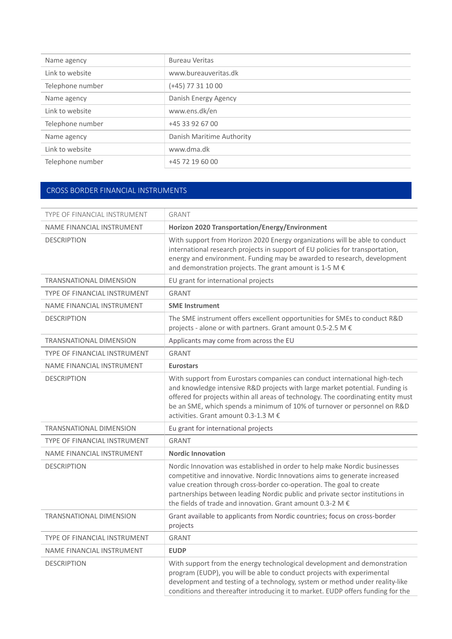| Name agency      | <b>Bureau Veritas</b>     |
|------------------|---------------------------|
| Link to website  | www.bureauveritas.dk      |
| Telephone number | $(+45)$ 77 31 10 00       |
| Name agency      | Danish Energy Agency      |
| Link to website  | www.ens.dk/en             |
| Telephone number | +45 33 92 67 00           |
| Name agency      | Danish Maritime Authority |
| Link to website  | www.dma.dk                |
| Telephone number | +45 72 19 60 00           |

#### CROSS BORDER FINANCIAL INSTRUMENTS

| TYPE OF FINANCIAL INSTRUMENT        | <b>GRANT</b>                                                                                                                                                                                                                                                                                                                                                                           |
|-------------------------------------|----------------------------------------------------------------------------------------------------------------------------------------------------------------------------------------------------------------------------------------------------------------------------------------------------------------------------------------------------------------------------------------|
| NAME FINANCIAL INSTRUMENT           | Horizon 2020 Transportation/Energy/Environment                                                                                                                                                                                                                                                                                                                                         |
| <b>DESCRIPTION</b>                  | With support from Horizon 2020 Energy organizations will be able to conduct<br>international research projects in support of EU policies for transportation,<br>energy and environment. Funding may be awarded to research, development<br>and demonstration projects. The grant amount is 1-5 M $\epsilon$                                                                            |
| <b>TRANSNATIONAL DIMENSION</b>      | EU grant for international projects                                                                                                                                                                                                                                                                                                                                                    |
| <b>TYPE OF FINANCIAL INSTRUMENT</b> | <b>GRANT</b>                                                                                                                                                                                                                                                                                                                                                                           |
| NAME FINANCIAL INSTRUMENT           | <b>SME Instrument</b>                                                                                                                                                                                                                                                                                                                                                                  |
| <b>DESCRIPTION</b>                  | The SME instrument offers excellent opportunities for SMEs to conduct R&D<br>projects - alone or with partners. Grant amount 0.5-2.5 M €                                                                                                                                                                                                                                               |
| <b>TRANSNATIONAL DIMENSION</b>      | Applicants may come from across the EU                                                                                                                                                                                                                                                                                                                                                 |
| TYPE OF FINANCIAL INSTRUMENT        | <b>GRANT</b>                                                                                                                                                                                                                                                                                                                                                                           |
| NAME FINANCIAL INSTRUMENT           | <b>Eurostars</b>                                                                                                                                                                                                                                                                                                                                                                       |
| <b>DESCRIPTION</b>                  | With support from Eurostars companies can conduct international high-tech<br>and knowledge intensive R&D projects with large market potential. Funding is<br>offered for projects within all areas of technology. The coordinating entity must<br>be an SME, which spends a minimum of 10% of turnover or personnel on R&D<br>activities. Grant amount 0.3-1.3 M €                     |
| <b>TRANSNATIONAL DIMENSION</b>      | Eu grant for international projects                                                                                                                                                                                                                                                                                                                                                    |
| TYPE OF FINANCIAL INSTRUMENT        | <b>GRANT</b>                                                                                                                                                                                                                                                                                                                                                                           |
| NAME FINANCIAL INSTRUMENT           | <b>Nordic Innovation</b>                                                                                                                                                                                                                                                                                                                                                               |
| <b>DESCRIPTION</b>                  | Nordic Innovation was established in order to help make Nordic businesses<br>competitive and innovative. Nordic Innovations aims to generate increased<br>value creation through cross-border co-operation. The goal to create<br>partnerships between leading Nordic public and private sector institutions in<br>the fields of trade and innovation. Grant amount 0.3-2 M $\epsilon$ |
| <b>TRANSNATIONAL DIMENSION</b>      | Grant available to applicants from Nordic countries; focus on cross-border<br>projects                                                                                                                                                                                                                                                                                                 |
| TYPE OF FINANCIAL INSTRUMENT        | <b>GRANT</b>                                                                                                                                                                                                                                                                                                                                                                           |
| NAME FINANCIAL INSTRUMENT           | <b>EUDP</b>                                                                                                                                                                                                                                                                                                                                                                            |
| <b>DESCRIPTION</b>                  | With support from the energy technological development and demonstration<br>program (EUDP), you will be able to conduct projects with experimental<br>development and testing of a technology, system or method under reality-like<br>conditions and thereafter introducing it to market. EUDP offers funding for the                                                                  |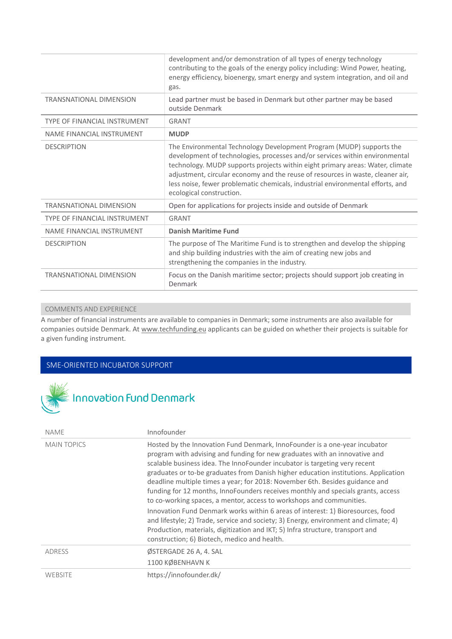|                                     | development and/or demonstration of all types of energy technology<br>contributing to the goals of the energy policy including: Wind Power, heating,<br>energy efficiency, bioenergy, smart energy and system integration, and oil and<br>gas.                                                                                                                                                                                       |
|-------------------------------------|--------------------------------------------------------------------------------------------------------------------------------------------------------------------------------------------------------------------------------------------------------------------------------------------------------------------------------------------------------------------------------------------------------------------------------------|
| <b>TRANSNATIONAL DIMENSION</b>      | Lead partner must be based in Denmark but other partner may be based<br>outside Denmark                                                                                                                                                                                                                                                                                                                                              |
| <b>TYPE OF FINANCIAL INSTRUMENT</b> | <b>GRANT</b>                                                                                                                                                                                                                                                                                                                                                                                                                         |
| NAME FINANCIAL INSTRUMENT           | <b>MUDP</b>                                                                                                                                                                                                                                                                                                                                                                                                                          |
| <b>DESCRIPTION</b>                  | The Environmental Technology Development Program (MUDP) supports the<br>development of technologies, processes and/or services within environmental<br>technology. MUDP supports projects within eight primary areas: Water, climate<br>adjustment, circular economy and the reuse of resources in waste, cleaner air,<br>less noise, fewer problematic chemicals, industrial environmental efforts, and<br>ecological construction. |
| <b>TRANSNATIONAL DIMENSION</b>      | Open for applications for projects inside and outside of Denmark                                                                                                                                                                                                                                                                                                                                                                     |
| <b>TYPE OF FINANCIAL INSTRUMENT</b> | <b>GRANT</b>                                                                                                                                                                                                                                                                                                                                                                                                                         |
| NAME FINANCIAL INSTRUMENT           | <b>Danish Maritime Fund</b>                                                                                                                                                                                                                                                                                                                                                                                                          |
| <b>DESCRIPTION</b>                  | The purpose of The Maritime Fund is to strengthen and develop the shipping<br>and ship building industries with the aim of creating new jobs and<br>strengthening the companies in the industry.                                                                                                                                                                                                                                     |
| <b>TRANSNATIONAL DIMENSION</b>      | Focus on the Danish maritime sector; projects should support job creating in<br>Denmark                                                                                                                                                                                                                                                                                                                                              |

#### COMMENTS AND EXPERIENCE

A number of financial instruments are available to companies in Denmark; some instruments are also available for companies outside Denmark. At www.techfunding.eu applicants can be guided on whether their projects is suitable for a given funding instrument.

#### SME‐ORIENTED INCUBATOR SUPPORT



| NAME               | Innofounder                                                                                                                                                                                                                                                                                                                                                                                                                                                                                                                                                                                                                                                                                                                                                                                                                                                                            |
|--------------------|----------------------------------------------------------------------------------------------------------------------------------------------------------------------------------------------------------------------------------------------------------------------------------------------------------------------------------------------------------------------------------------------------------------------------------------------------------------------------------------------------------------------------------------------------------------------------------------------------------------------------------------------------------------------------------------------------------------------------------------------------------------------------------------------------------------------------------------------------------------------------------------|
| <b>MAIN TOPICS</b> | Hosted by the Innovation Fund Denmark, InnoFounder is a one-year incubator<br>program with advising and funding for new graduates with an innovative and<br>scalable business idea. The InnoFounder incubator is targeting very recent<br>graduates or to-be graduates from Danish higher education institutions. Application<br>deadline multiple times a year; for 2018: November 6th. Besides guidance and<br>funding for 12 months, InnoFounders receives monthly and specials grants, access<br>to co-working spaces, a mentor, access to workshops and communities.<br>Innovation Fund Denmark works within 6 areas of interest: 1) Bioresources, food<br>and lifestyle; 2) Trade, service and society; 3) Energy, environment and climate; 4)<br>Production, materials, digitization and IKT; 5) Infra structure, transport and<br>construction; 6) Biotech, medico and health. |
| <b>ADRESS</b>      | ØSTERGADE 26 A, 4. SAL<br>1100 KØBENHAVN K                                                                                                                                                                                                                                                                                                                                                                                                                                                                                                                                                                                                                                                                                                                                                                                                                                             |
| WEBSITE            | https://innofounder.dk/                                                                                                                                                                                                                                                                                                                                                                                                                                                                                                                                                                                                                                                                                                                                                                                                                                                                |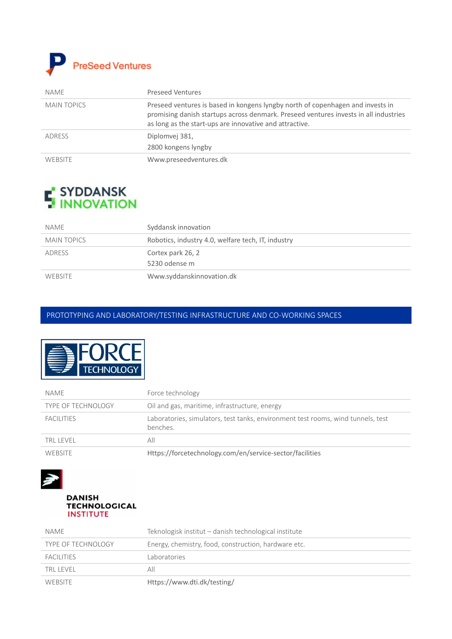

| NAME               | <b>Preseed Ventures</b>                                                                                                                                                                                                           |
|--------------------|-----------------------------------------------------------------------------------------------------------------------------------------------------------------------------------------------------------------------------------|
| <b>MAIN TOPICS</b> | Preseed ventures is based in kongens lyngby north of copenhagen and invests in<br>promising danish startups across denmark. Preseed ventures invests in all industries<br>as long as the start-ups are innovative and attractive. |
| ADRESS             | Diplomvej 381,<br>2800 kongens lyngby                                                                                                                                                                                             |
| <b>WEBSITE</b>     | Www.preseedventures.dk                                                                                                                                                                                                            |

# **F** SYDDANSK<br>**H** INNOVATION

| name               | Syddansk innovation                                |
|--------------------|----------------------------------------------------|
| <b>MAIN TOPICS</b> | Robotics, industry 4.0, welfare tech, IT, industry |
| <b>ADRESS</b>      | Cortex park 26, 2                                  |
|                    | 5230 odense m                                      |
| <b>WEBSITE</b>     | Www.syddanskinnovation.dk                          |

#### PROTOTYPING AND LABORATORY/TESTING INFRASTRUCTURE AND CO‐WORKING SPACES



| NAME                      | Force technology                                                                             |
|---------------------------|----------------------------------------------------------------------------------------------|
| <b>TYPE OF TECHNOLOGY</b> | Oil and gas, maritime, infrastructure, energy                                                |
| <b>FACILITIES</b>         | Laboratories, simulators, test tanks, environment test rooms, wind tunnels, test<br>benches. |
| TRL LEVEL                 | All                                                                                          |
| <b>WEBSITE</b>            | Https://forcetechnology.com/en/service-sector/facilities                                     |



**DANISH TECHNOLOGICAL INSTITUTE** 

| NAME                      | Teknologisk institut - danish technological institute |
|---------------------------|-------------------------------------------------------|
| <b>TYPE OF TECHNOLOGY</b> | Energy, chemistry, food, construction, hardware etc.  |
| FACILITIES                | Laboratories                                          |
| TRI I FVFI                | All                                                   |
| <b>WEBSITE</b>            | Https://www.dti.dk/testing/                           |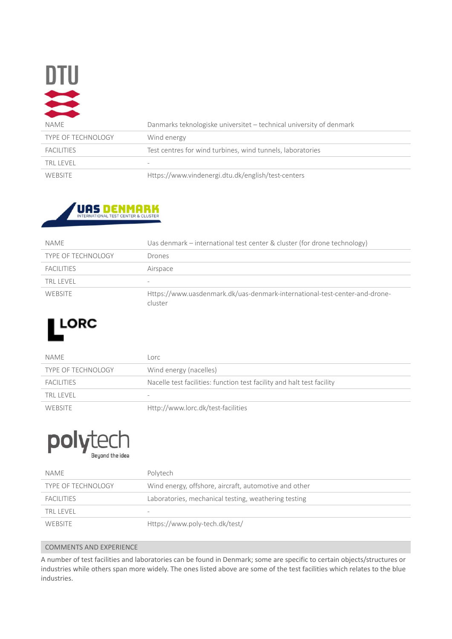| $\blacksquare$            |                                                                     |
|---------------------------|---------------------------------------------------------------------|
| <b>NAME</b>               | Danmarks teknologiske universitet - technical university of denmark |
| <b>TYPE OF TECHNOLOGY</b> | Wind energy                                                         |
| <b>FACILITIES</b>         | Test centres for wind turbines, wind tunnels, laboratories          |
| <b>TRL LEVEL</b>          |                                                                     |
| WEBSITE                   | Https://www.vindenergi.dtu.dk/english/test-centers                  |



| NAME                      | Uas denmark – international test center & cluster (for drone technology)              |
|---------------------------|---------------------------------------------------------------------------------------|
| <b>TYPE OF TECHNOLOGY</b> | Drones                                                                                |
| <b>FACILITIES</b>         | Airspace                                                                              |
| TRI I FVFI                | -                                                                                     |
| WEBSITE                   | Https://www.uasdenmark.dk/uas-denmark-international-test-center-and-drone-<br>cluster |

## LORC

| NAME                      | Lorc                                                                   |
|---------------------------|------------------------------------------------------------------------|
| <b>TYPE OF TECHNOLOGY</b> | Wind energy (nacelles)                                                 |
| <b>FACILITIES</b>         | Nacelle test facilities: function test facility and halt test facility |
| TRI I FVFI                | $\overline{\phantom{a}}$                                               |
| WEBSITE                   | Http://www.lorc.dk/test-facilities                                     |

### polyted Beyond the idea

| NAME                      | Polytech                                              |
|---------------------------|-------------------------------------------------------|
| <b>TYPE OF TECHNOLOGY</b> | Wind energy, offshore, aircraft, automotive and other |
| FACILITIES                | Laboratories, mechanical testing, weathering testing  |
| TRI I FVFI                | $\overline{\phantom{a}}$                              |
| WEBSITE                   | Https://www.poly-tech.dk/test/                        |

#### COMMENTS AND EXPERIENCE

A number of test facilities and laboratories can be found in Denmark; some are specific to certain objects/structures or industries while others span more widely. The ones listed above are some of the test facilities which relates to the blue industries.